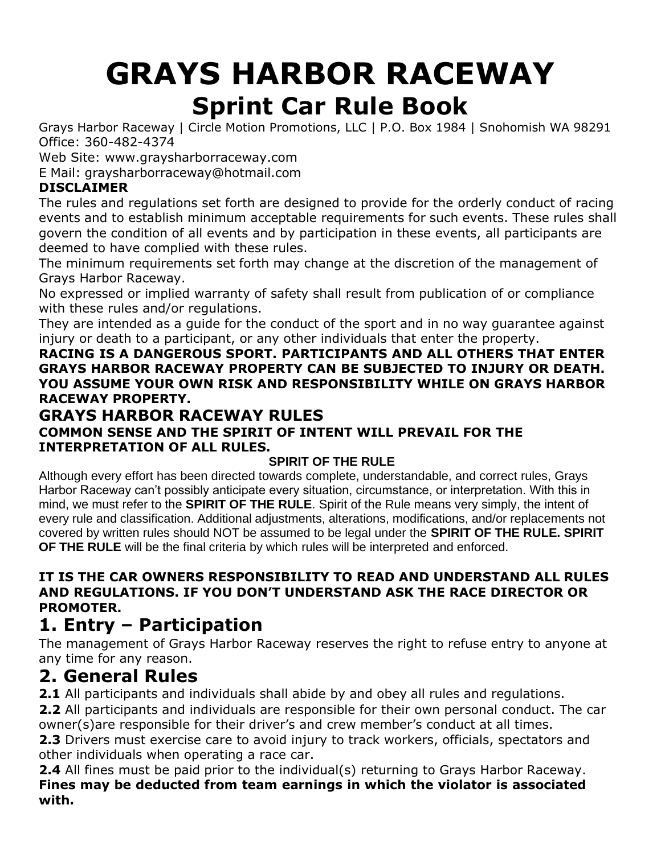# **GRAYS HARBOR RACEWAY Sprint Car Rule Book**

Grays Harbor Raceway | Circle Motion Promotions, LLC | P.O. Box 1984 | Snohomish WA 98291 Office: 360-482-4374

Web Site: [www.graysharborraceway.com](http://www.graysharborraceway.com/)

E Mail: [graysharborraceway@hotmail.com](mailto:graysharborraceway@hotmail.com)

#### **DISCLAIMER**

The rules and regulations set forth are designed to provide for the orderly conduct of racing events and to establish minimum acceptable requirements for such events. These rules shall govern the condition of all events and by participation in these events, all participants are deemed to have complied with these rules.

The minimum requirements set forth may change at the discretion of the management of Grays Harbor Raceway.

No expressed or implied warranty of safety shall result from publication of or compliance with these rules and/or regulations.

They are intended as a guide for the conduct of the sport and in no way guarantee against injury or death to a participant, or any other individuals that enter the property.

**RACING IS A DANGEROUS SPORT. PARTICIPANTS AND ALL OTHERS THAT ENTER GRAYS HARBOR RACEWAY PROPERTY CAN BE SUBJECTED TO INJURY OR DEATH. YOU ASSUME YOUR OWN RISK AND RESPONSIBILITY WHILE ON GRAYS HARBOR RACEWAY PROPERTY.**

### **GRAYS HARBOR RACEWAY RULES**

#### **COMMON SENSE AND THE SPIRIT OF INTENT WILL PREVAIL FOR THE INTERPRETATION OF ALL RULES.**

#### **SPIRIT OF THE RULE**

Although every effort has been directed towards complete, understandable, and correct rules, Grays Harbor Raceway can't possibly anticipate every situation, circumstance, or interpretation. With this in mind, we must refer to the **SPIRIT OF THE RULE**. Spirit of the Rule means very simply, the intent of every rule and classification. Additional adjustments, alterations, modifications, and/or replacements not covered by written rules should NOT be assumed to be legal under the **SPIRIT OF THE RULE. SPIRIT OF THE RULE** will be the final criteria by which rules will be interpreted and enforced.

#### **IT IS THE CAR OWNERS RESPONSIBILITY TO READ AND UNDERSTAND ALL RULES AND REGULATIONS. IF YOU DON'T UNDERSTAND ASK THE RACE DIRECTOR OR PROMOTER.**

## **1. Entry – Participation**

The management of Grays Harbor Raceway reserves the right to refuse entry to anyone at any time for any reason.

### **2. General Rules**

**2.1** All participants and individuals shall abide by and obey all rules and regulations. **2.2** All participants and individuals are responsible for their own personal conduct. The car owner(s)are responsible for their driver's and crew member's conduct at all times.

**2.3** Drivers must exercise care to avoid injury to track workers, officials, spectators and other individuals when operating a race car.

**2.4** All fines must be paid prior to the individual(s) returning to Grays Harbor Raceway. **Fines may be deducted from team earnings in which the violator is associated with.**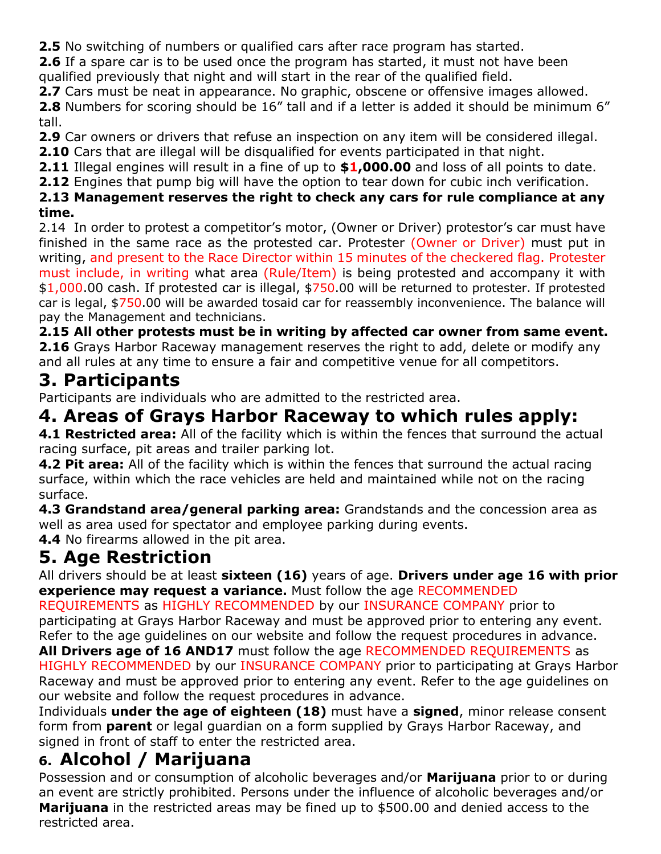**2.5** No switching of numbers or qualified cars after race program has started.

**2.6** If a spare car is to be used once the program has started, it must not have been qualified previously that night and will start in the rear of the qualified field.

**2.7** Cars must be neat in appearance. No graphic, obscene or offensive images allowed.

**2.8** Numbers for scoring should be 16" tall and if a letter is added it should be minimum 6" tall.

**2.9** Car owners or drivers that refuse an inspection on any item will be considered illegal.

**2.10** Cars that are illegal will be disqualified for events participated in that night.

**2.11** Illegal engines will result in a fine of up to **\$1,000.00** and loss of all points to date.

**2.12** Engines that pump big will have the option to tear down for cubic inch verification.

#### **2.13 Management reserves the right to check any cars for rule compliance at any time.**

2.14 In order to protest a competitor's motor, (Owner or Driver) protestor's car must have finished in the same race as the protested car. Protester (Owner or Driver) must put in writing, and present to the Race Director within 15 minutes of the checkered flag. Protester must include, in writing what area (Rule/Item) is being protested and accompany it with \$1,000.00 cash. If protested car is illegal, \$750.00 will be returned to protester. If protested car is legal, \$750.00 will be awarded tosaid car for reassembly inconvenience. The balance will pay the Management and technicians.

**2.15 All other protests must be in writing by affected car owner from same event. 2.16** Grays Harbor Raceway management reserves the right to add, delete or modify any and all rules at any time to ensure a fair and competitive venue for all competitors.

## **3. Participants**

Participants are individuals who are admitted to the restricted area.

# **4. Areas of Grays Harbor Raceway to which rules apply:**

**4.1 Restricted area:** All of the facility which is within the fences that surround the actual racing surface, pit areas and trailer parking lot.

**4.2 Pit area:** All of the facility which is within the fences that surround the actual racing surface, within which the race vehicles are held and maintained while not on the racing surface.

**4.3 Grandstand area/general parking area:** Grandstands and the concession area as well as area used for spectator and employee parking during events.

**4.4** No firearms allowed in the pit area.

# **5. Age Restriction**

All drivers should be at least **sixteen (16)** years of age. **Drivers under age 16 with prior experience may request a variance.** Must follow the age RECOMMENDED

REQUIREMENTS as HIGHLY RECOMMENDED by our INSURANCE COMPANY prior to participating at Grays Harbor Raceway and must be approved prior to entering any event. Refer to the age guidelines on our website and follow the request procedures in advance. **All Drivers age of 16 AND17** must follow the age RECOMMENDED REQUIREMENTS as

HIGHLY RECOMMENDED by our INSURANCE COMPANY prior to participating at Grays Harbor Raceway and must be approved prior to entering any event. Refer to the age guidelines on our website and follow the request procedures in advance.

Individuals **under the age of eighteen (18)** must have a **signed**, minor release consent form from **parent** or legal guardian on a form supplied by Grays Harbor Raceway, and signed in front of staff to enter the restricted area.

# **6. Alcohol / Marijuana**

Possession and or consumption of alcoholic beverages and/or **Marijuana** prior to or during an event are strictly prohibited. Persons under the influence of alcoholic beverages and/or **Marijuana** in the restricted areas may be fined up to \$500.00 and denied access to the restricted area.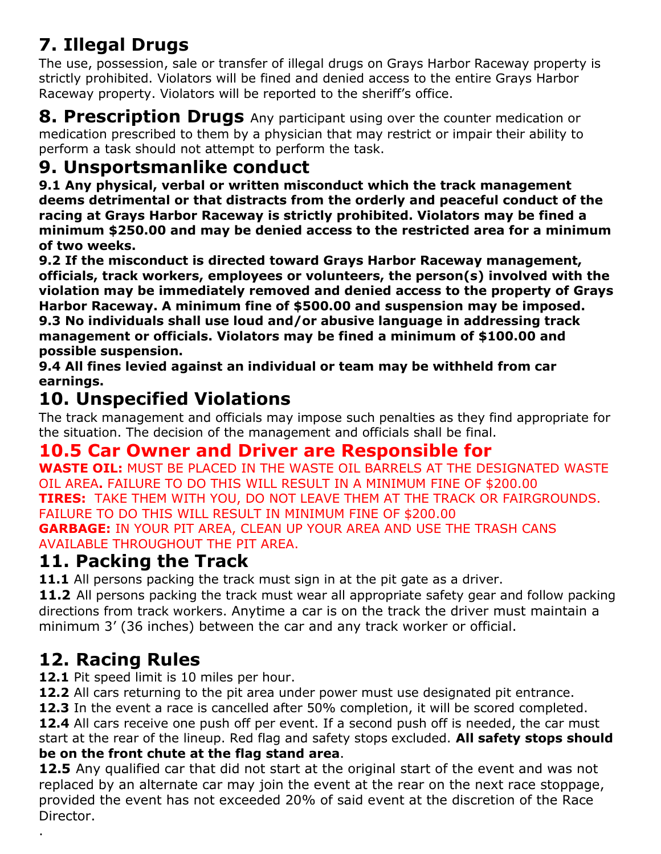# **7. Illegal Drugs**

The use, possession, sale or transfer of illegal drugs on Grays Harbor Raceway property is strictly prohibited. Violators will be fined and denied access to the entire Grays Harbor Raceway property. Violators will be reported to the sheriff's office.

**8. Prescription Drugs** Any participant using over the counter medication or medication prescribed to them by a physician that may restrict or impair their ability to perform a task should not attempt to perform the task.

## **9. Unsportsmanlike conduct**

**9.1 Any physical, verbal or written misconduct which the track management deems detrimental or that distracts from the orderly and peaceful conduct of the racing at Grays Harbor Raceway is strictly prohibited. Violators may be fined a minimum \$250.00 and may be denied access to the restricted area for a minimum of two weeks.**

**9.2 If the misconduct is directed toward Grays Harbor Raceway management, officials, track workers, employees or volunteers, the person(s) involved with the violation may be immediately removed and denied access to the property of Grays Harbor Raceway. A minimum fine of \$500.00 and suspension may be imposed. 9.3 No individuals shall use loud and/or abusive language in addressing track management or officials. Violators may be fined a minimum of \$100.00 and possible suspension.**

**9.4 All fines levied against an individual or team may be withheld from car earnings.**

# **10. Unspecified Violations**

The track management and officials may impose such penalties as they find appropriate for the situation. The decision of the management and officials shall be final.

### **10.5 Car Owner and Driver are Responsible for**

**WASTE OIL:** MUST BE PLACED IN THE WASTE OIL BARRELS AT THE DESIGNATED WASTE OIL AREA**.** FAILURE TO DO THIS WILL RESULT IN A MINIMUM FINE OF \$200.00 **TIRES:** TAKE THEM WITH YOU, DO NOT LEAVE THEM AT THE TRACK OR FAIRGROUNDS. FAILURE TO DO THIS WILL RESULT IN MINIMUM FINE OF \$200.00 **GARBAGE:** IN YOUR PIT AREA, CLEAN UP YOUR AREA AND USE THE TRASH CANS AVAILABLE THROUGHOUT THE PIT AREA.

## **11. Packing the Track**

**11.1** All persons packing the track must sign in at the pit gate as a driver.

**11.2** All persons packing the track must wear all appropriate safety gear and follow packing directions from track workers. Anytime a car is on the track the driver must maintain a minimum 3' (36 inches) between the car and any track worker or official.

# **12. Racing Rules**

.

**12.1** Pit speed limit is 10 miles per hour.

**12.2** All cars returning to the pit area under power must use designated pit entrance.

**12.3** In the event a race is cancelled after 50% completion, it will be scored completed.

12.4 All cars receive one push off per event. If a second push off is needed, the car must start at the rear of the lineup. Red flag and safety stops excluded. **All safety stops should be on the front chute at the flag stand area**.

**12.5** Any qualified car that did not start at the original start of the event and was not replaced by an alternate car may join the event at the rear on the next race stoppage, provided the event has not exceeded 20% of said event at the discretion of the Race Director.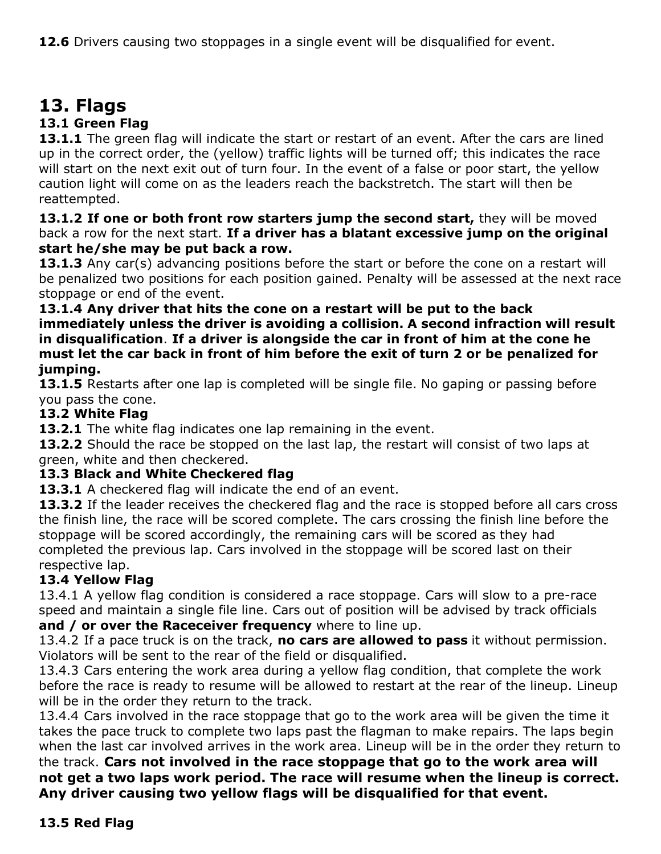# **13. Flags**

#### **13.1 Green Flag**

**13.1.1** The green flag will indicate the start or restart of an event. After the cars are lined up in the correct order, the (yellow) traffic lights will be turned off; this indicates the race will start on the next exit out of turn four. In the event of a false or poor start, the yellow caution light will come on as the leaders reach the backstretch. The start will then be reattempted.

**13.1.2 If one or both front row starters jump the second start,** they will be moved back a row for the next start. **If a driver has a blatant excessive jump on the original start he/she may be put back a row.**

13.1.3 Any car(s) advancing positions before the start or before the cone on a restart will be penalized two positions for each position gained. Penalty will be assessed at the next race stoppage or end of the event.

#### **13.1.4 Any driver that hits the cone on a restart will be put to the back immediately unless the driver is avoiding a collision. A second infraction will result in disqualification**. **If a driver is alongside the car in front of him at the cone he must let the car back in front of him before the exit of turn 2 or be penalized for jumping.**

**13.1.5** Restarts after one lap is completed will be single file. No gaping or passing before you pass the cone.

#### **13.2 White Flag**

**13.2.1** The white flag indicates one lap remaining in the event.

13.2.2 Should the race be stopped on the last lap, the restart will consist of two laps at green, white and then checkered.

#### **13.3 Black and White Checkered flag**

**13.3.1** A checkered flag will indicate the end of an event.

**13.3.2** If the leader receives the checkered flag and the race is stopped before all cars cross the finish line, the race will be scored complete. The cars crossing the finish line before the stoppage will be scored accordingly, the remaining cars will be scored as they had completed the previous lap. Cars involved in the stoppage will be scored last on their respective lap.

#### **13.4 Yellow Flag**

13.4.1 A yellow flag condition is considered a race stoppage. Cars will slow to a pre-race speed and maintain a single file line. Cars out of position will be advised by track officials **and / or over the Raceceiver frequency** where to line up.

13.4.2 If a pace truck is on the track, **no cars are allowed to pass** it without permission. Violators will be sent to the rear of the field or disqualified.

13.4.3 Cars entering the work area during a yellow flag condition, that complete the work before the race is ready to resume will be allowed to restart at the rear of the lineup. Lineup will be in the order they return to the track.

13.4.4 Cars involved in the race stoppage that go to the work area will be given the time it takes the pace truck to complete two laps past the flagman to make repairs. The laps begin when the last car involved arrives in the work area. Lineup will be in the order they return to

the track. **Cars not involved in the race stoppage that go to the work area will not get a two laps work period. The race will resume when the lineup is correct. Any driver causing two yellow flags will be disqualified for that event.**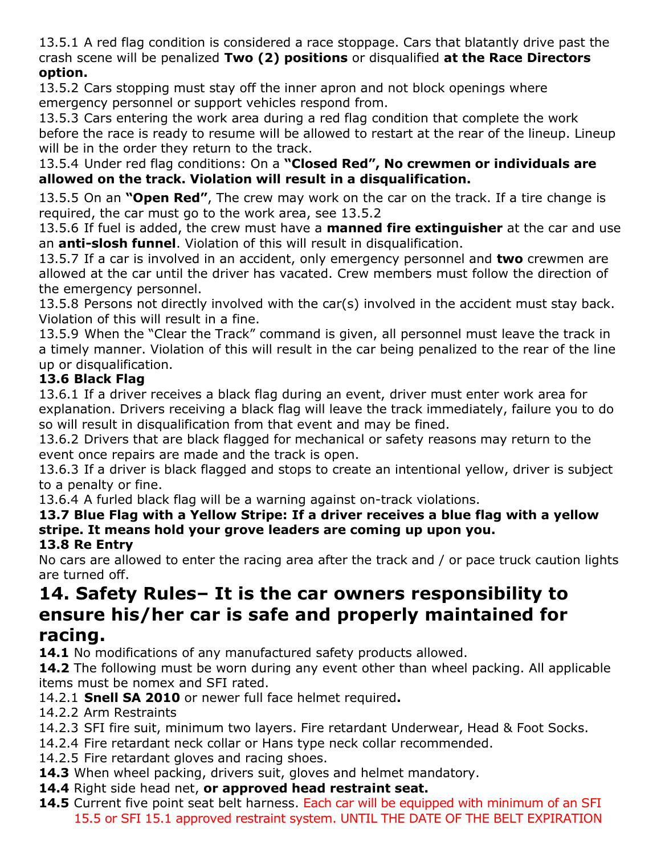13.5.1 A red flag condition is considered a race stoppage. Cars that blatantly drive past the crash scene will be penalized **Two (2) positions** or disqualified **at the Race Directors option.**

13.5.2 Cars stopping must stay off the inner apron and not block openings where emergency personnel or support vehicles respond from.

13.5.3 Cars entering the work area during a red flag condition that complete the work before the race is ready to resume will be allowed to restart at the rear of the lineup. Lineup will be in the order they return to the track.

13.5.4 Under red flag conditions: On a **"Closed Red", No crewmen or individuals are allowed on the track. Violation will result in a disqualification.**

13.5.5 On an **"Open Red"**, The crew may work on the car on the track. If a tire change is required, the car must go to the work area, see 13.5.2

13.5.6 If fuel is added, the crew must have a **manned fire extinguisher** at the car and use an **anti-slosh funnel**. Violation of this will result in disqualification.

13.5.7 If a car is involved in an accident, only emergency personnel and **two** crewmen are allowed at the car until the driver has vacated. Crew members must follow the direction of the emergency personnel.

13.5.8 Persons not directly involved with the car(s) involved in the accident must stay back. Violation of this will result in a fine.

13.5.9 When the "Clear the Track" command is given, all personnel must leave the track in a timely manner. Violation of this will result in the car being penalized to the rear of the line up or disqualification.

### **13.6 Black Flag**

13.6.1 If a driver receives a black flag during an event, driver must enter work area for explanation. Drivers receiving a black flag will leave the track immediately, failure you to do so will result in disqualification from that event and may be fined.

13.6.2 Drivers that are black flagged for mechanical or safety reasons may return to the event once repairs are made and the track is open.

13.6.3 If a driver is black flagged and stops to create an intentional yellow, driver is subject to a penalty or fine.

13.6.4 A furled black flag will be a warning against on-track violations.

#### **13.7 Blue Flag with a Yellow Stripe: If a driver receives a blue flag with a yellow stripe. It means hold your grove leaders are coming up upon you. 13.8 Re Entry**

No cars are allowed to enter the racing area after the track and / or pace truck caution lights are turned off.

# **14. Safety Rules– It is the car owners responsibility to ensure his/her car is safe and properly maintained for**

### **racing.**

14.1 No modifications of any manufactured safety products allowed.

**14.2** The following must be worn during any event other than wheel packing. All applicable items must be nomex and SFI rated.

- 14.2.1 **Snell SA 2010** or newer full face helmet required**.**
- 14.2.2 Arm Restraints
- 14.2.3 SFI fire suit, minimum two layers. Fire retardant Underwear, Head & Foot Socks.
- 14.2.4 Fire retardant neck collar or Hans type neck collar recommended.
- 14.2.5 Fire retardant gloves and racing shoes.
- **14.3** When wheel packing, drivers suit, gloves and helmet mandatory.
- **14.4** Right side head net, **or approved head restraint seat.**
- 14.5 Current five point seat belt harness. Each car will be equipped with minimum of an SFI 15.5 or SFI 15.1 approved restraint system. UNTIL THE DATE OF THE BELT EXPIRATION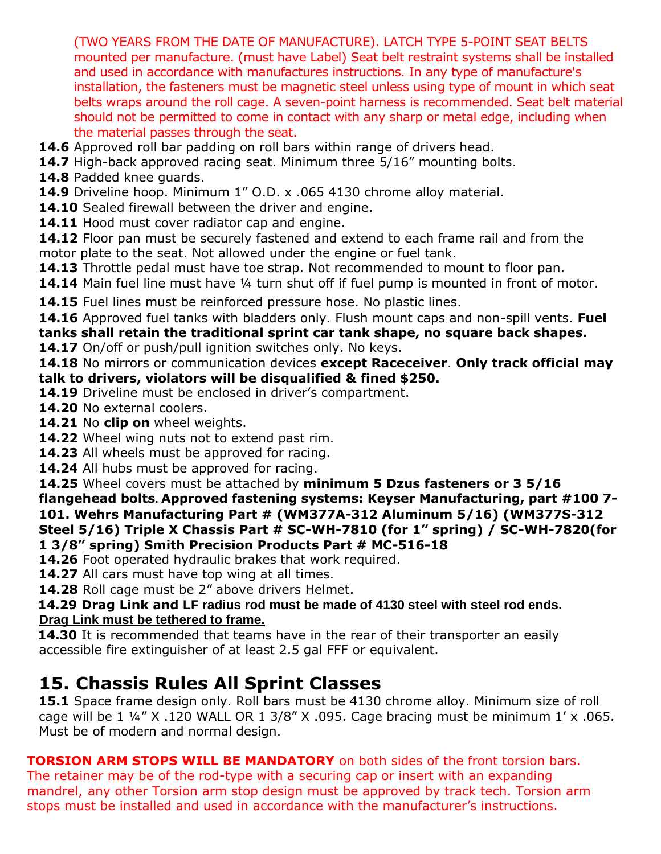(TWO YEARS FROM THE DATE OF MANUFACTURE). LATCH TYPE 5-POINT SEAT BELTS mounted per manufacture. (must have Label) Seat belt restraint systems shall be installed and used in accordance with manufactures instructions. In any type of manufacture's installation, the fasteners must be magnetic steel unless using type of mount in which seat belts wraps around the roll cage. A seven-point harness is recommended. Seat belt material should not be permitted to come in contact with any sharp or metal edge, including when the material passes through the seat.

- **14.6** Approved roll bar padding on roll bars within range of drivers head.
- 14.7 High-back approved racing seat. Minimum three 5/16" mounting bolts.
- **14.8** Padded knee guards.
- **14.9** Driveline hoop. Minimum 1" O.D. x .065 4130 chrome alloy material.
- 14.10 Sealed firewall between the driver and engine.
- **14.11** Hood must cover radiator cap and engine.

**14.12** Floor pan must be securely fastened and extend to each frame rail and from the motor plate to the seat. Not allowed under the engine or fuel tank.

**14.13** Throttle pedal must have toe strap. Not recommended to mount to floor pan.

**14.14** Main fuel line must have ¼ turn shut off if fuel pump is mounted in front of motor.

14.15 Fuel lines must be reinforced pressure hose. No plastic lines.

**14.16** Approved fuel tanks with bladders only. Flush mount caps and non-spill vents. **Fuel tanks shall retain the traditional sprint car tank shape, no square back shapes.**

**14.17** On/off or push/pull ignition switches only. No keys.

**14.18** No mirrors or communication devices **except Raceceiver**. **Only track official may talk to drivers, violators will be disqualified & fined \$250.**

- **14.19** Driveline must be enclosed in driver's compartment.
- **14.20** No external coolers.
- **14.21** No **clip on** wheel weights.
- **14.22** Wheel wing nuts not to extend past rim.
- **14.23** All wheels must be approved for racing.
- **14.24** All hubs must be approved for racing.

**14.25** Wheel covers must be attached by **minimum 5 Dzus fasteners or 3 5/16 flangehead bolts. Approved fastening systems: Keyser Manufacturing, part #100 7- 101. Wehrs Manufacturing Part # (WM377A-312 Aluminum 5/16) (WM377S-312 Steel 5/16) Triple X Chassis Part # SC-WH-7810 (for 1" spring) / SC-WH-7820(for 1 3/8" spring) Smith Precision Products Part # MC-516-18**

**14.26** Foot operated hydraulic brakes that work required.

**14.27** All cars must have top wing at all times.

**14.28** Roll cage must be 2" above drivers Helmet.

**14.29 Drag Link and LF radius rod must be made of 4130 steel with steel rod ends. Drag Link must be tethered to frame.**

**14.30** It is recommended that teams have in the rear of their transporter an easily accessible fire extinguisher of at least 2.5 gal FFF or equivalent.

### **15. Chassis Rules All Sprint Classes**

**15.1** Space frame design only. Roll bars must be 4130 chrome alloy. Minimum size of roll cage will be 1  $\frac{1}{4}$  X .120 WALL OR 1 3/8" X .095. Cage bracing must be minimum 1' x .065. Must be of modern and normal design.

**TORSION ARM STOPS WILL BE MANDATORY** on both sides of the front torsion bars. The retainer may be of the rod-type with a securing cap or insert with an expanding mandrel, any other Torsion arm stop design must be approved by track tech. Torsion arm stops must be installed and used in accordance with the manufacturer's instructions.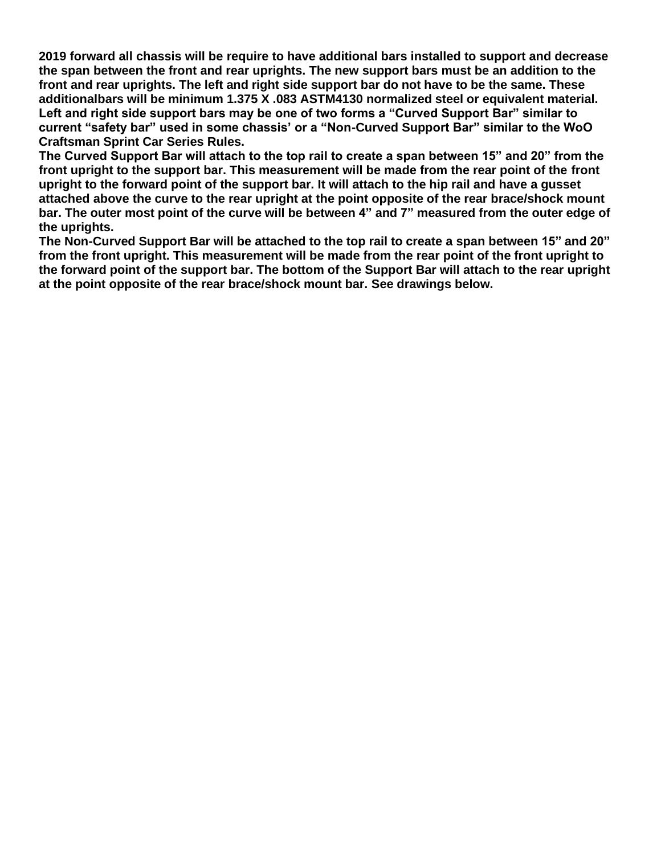**2019 forward all chassis will be require to have additional bars installed to support and decrease the span between the front and rear uprights. The new support bars must be an addition to the**  front and rear uprights. The left and right side support bar do not have to be the same. These **additionalbars will be minimum 1.375 X .083 ASTM4130 normalized steel or equivalent material. Left and right side support bars may be one of two forms a "Curved Support Bar" similar to current "safety bar" used in some chassis' or a "Non-Curved Support Bar" similar to the WoO Craftsman Sprint Car Series Rules.**

**The Curved Support Bar will attach to the top rail to create a span between 15" and 20" from the front upright to the support bar. This measurement will be made from the rear point of the front upright to the forward point of the support bar. It will attach to the hip rail and have a gusset attached above the curve to the rear upright at the point opposite of the rear brace/shock mount** bar. The outer most point of the curve will be between 4" and 7" measured from the outer edge of **the uprights.**

**The Non-Curved Support Bar will be attached to the top rail to create a span between 15" and 20" from the front upright. This measurement will be made from the rear point of the front upright to the forward point of the support bar. The bottom of the Support Bar will attach to the rear upright at the point opposite of the rear brace/shock mount bar. See drawings below.**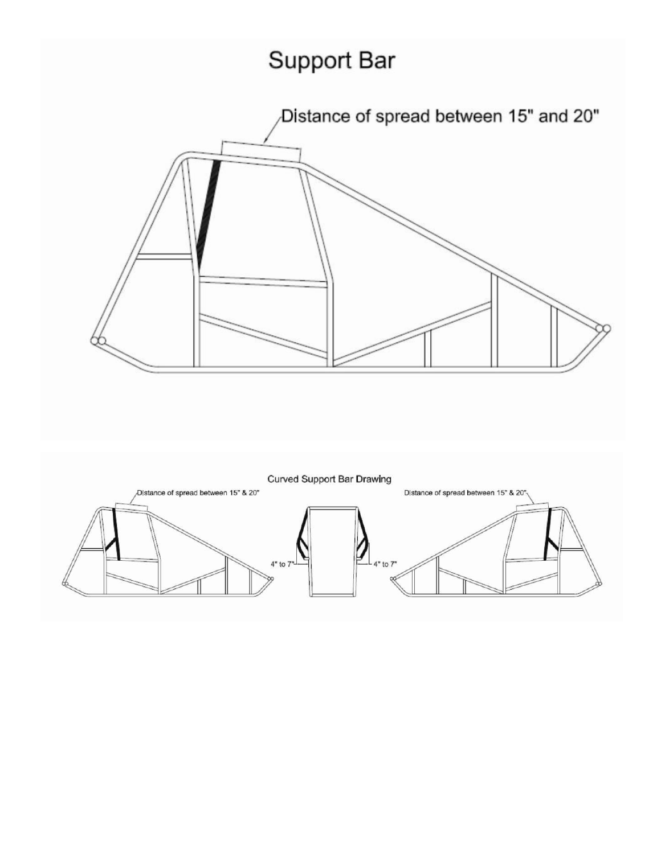# Support Bar



**Curved Support Bar Drawing** Distance of spread between 15" & 20" D|stance of spread between 15" & 20"  $4"$  to  $7"$ to 7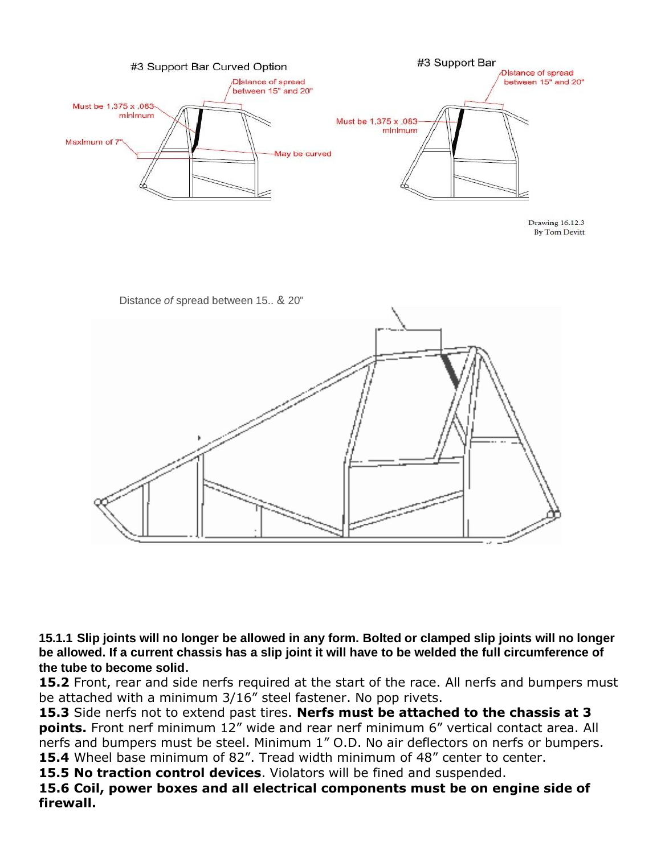

Drawing 16.12.3 **By Tom Devitt** 



15.1.1 Slip joints will no longer be allowed in any form. Bolted or clamped slip joints will no longer **be allowed. If a current chassis has a slip joint it will have to be welded the full circumference of the tube to become solid**.

**15.2** Front, rear and side nerfs required at the start of the race. All nerfs and bumpers must be attached with a minimum 3/16" steel fastener. No pop rivets.

**15.3** Side nerfs not to extend past tires. **Nerfs must be attached to the chassis at 3 points.** Front nerf minimum 12" wide and rear nerf minimum 6" vertical contact area. All nerfs and bumpers must be steel. Minimum 1" O.D. No air deflectors on nerfs or bumpers. 15.4 Wheel base minimum of 82". Tread width minimum of 48" center to center.

**15.5 No traction control devices**. Violators will be fined and suspended.

**15.6 Coil, power boxes and all electrical components must be on engine side of firewall.**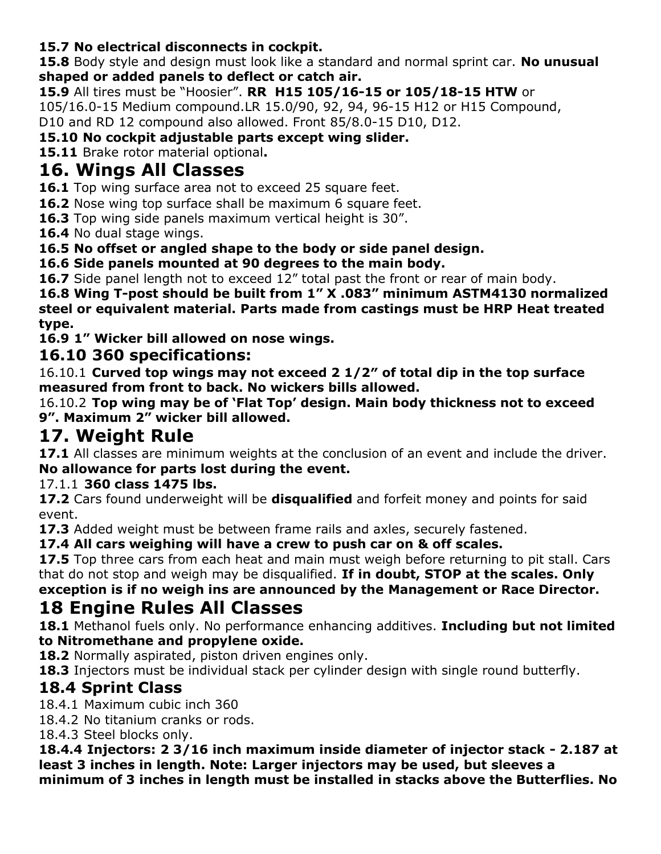### **15.7 No electrical disconnects in cockpit.**

**15.8** Body style and design must look like a standard and normal sprint car. **No unusual shaped or added panels to deflect or catch air.**

**15.9** All tires must be "Hoosier". **RR H15 105/16-15 or 105/18-15 HTW** or

105/16.0-15 Medium compound.LR 15.0/90, 92, 94, 96-15 H12 or H15 Compound,

D10 and RD 12 compound also allowed. Front 85/8.0-15 D10, D12.

**15.10 No cockpit adjustable parts except wing slider.**

**15.11** Brake rotor material optional**.**

## **16. Wings All Classes**

**16.1** Top wing surface area not to exceed 25 square feet.

**16.2** Nose wing top surface shall be maximum 6 square feet.

**16.3** Top wing side panels maximum vertical height is 30".

**16.4** No dual stage wings.

**16.5 No offset or angled shape to the body or side panel design.**

**16.6 Side panels mounted at 90 degrees to the main body.**

16.7 Side panel length not to exceed 12" total past the front or rear of main body.

**16.8 Wing T-post should be built from 1" X .083" minimum ASTM4130 normalized steel or equivalent material. Parts made from castings must be HRP Heat treated type.**

**16.9 1" Wicker bill allowed on nose wings.**

### **16.10 360 specifications:**

16.10.1 **Curved top wings may not exceed 2 1/2″ of total dip in the top surface measured from front to back. No wickers bills allowed.**

16.10.2 **Top wing may be of 'Flat Top' design. Main body thickness not to exceed 9". Maximum 2" wicker bill allowed.**

# **17. Weight Rule**

**17.1** All classes are minimum weights at the conclusion of an event and include the driver. **No allowance for parts lost during the event.**

### 17.1.1 **360 class 1475 lbs.**

**17.2** Cars found underweight will be **disqualified** and forfeit money and points for said event.

**17.3** Added weight must be between frame rails and axles, securely fastened.

**17.4 All cars weighing will have a crew to push car on & off scales.**

**17.5** Top three cars from each heat and main must weigh before returning to pit stall. Cars that do not stop and weigh may be disqualified. **If in doubt, STOP at the scales. Only**

**exception is if no weigh ins are announced by the Management or Race Director. 18 Engine Rules All Classes**

**18.1** Methanol fuels only. No performance enhancing additives. **Including but not limited to Nitromethane and propylene oxide.**

**18.2** Normally aspirated, piston driven engines only.

**18.3** Injectors must be individual stack per cylinder design with single round butterfly.

### **18.4 Sprint Class**

18.4.1 Maximum cubic inch 360

18.4.2 No titanium cranks or rods.

18.4.3 Steel blocks only.

**18.4.4 Injectors: 2 3/16 inch maximum inside diameter of injector stack - 2.187 at least 3 inches in length. Note: Larger injectors may be used, but sleeves a minimum of 3 inches in length must be installed in stacks above the Butterflies. No**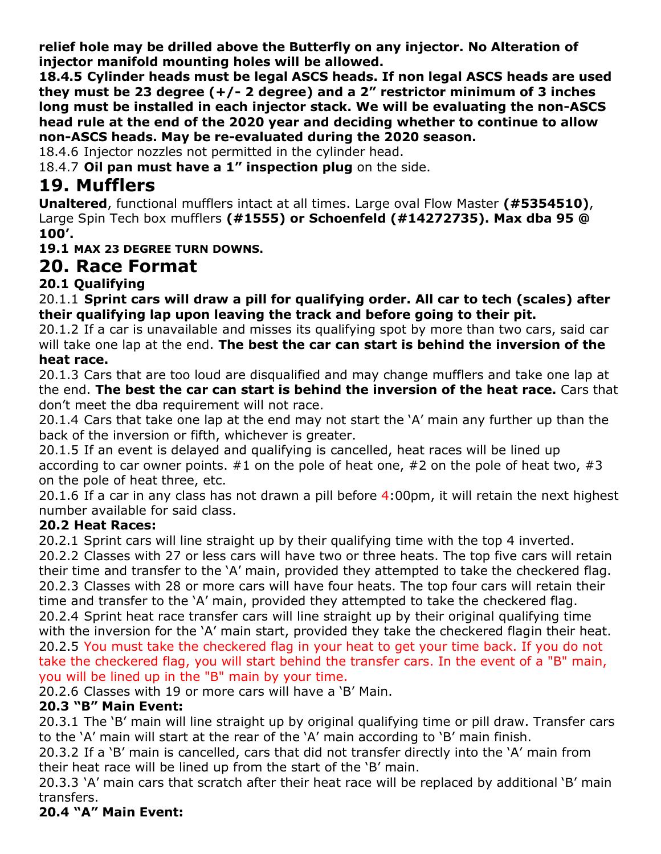**relief hole may be drilled above the Butterfly on any injector. No Alteration of injector manifold mounting holes will be allowed.**

**18.4.5 Cylinder heads must be legal ASCS heads. If non legal ASCS heads are used they must be 23 degree (+/- 2 degree) and a 2" restrictor minimum of 3 inches long must be installed in each injector stack. We will be evaluating the non-ASCS head rule at the end of the 2020 year and deciding whether to continue to allow non-ASCS heads. May be re-evaluated during the 2020 season.**

18.4.6 Injector nozzles not permitted in the cylinder head.

18.4.7 **Oil pan must have a 1" inspection plug** on the side.

### **19. Mufflers**

**Unaltered**, functional mufflers intact at all times. Large oval Flow Master **(#5354510)**, Large Spin Tech box mufflers **(#1555) or Schoenfeld (#14272735). Max dba 95 @ 100'.**

**19.1 MAX 23 DEGREE TURN DOWNS.**

### **20. Race Format**

### **20.1 Qualifying**

20.1.1 **Sprint cars will draw a pill for qualifying order. All car to tech (scales) after their qualifying lap upon leaving the track and before going to their pit.**

20.1.2 If a car is unavailable and misses its qualifying spot by more than two cars, said car will take one lap at the end. **The best the car can start is behind the inversion of the heat race.**

20.1.3 Cars that are too loud are disqualified and may change mufflers and take one lap at the end. **The best the car can start is behind the inversion of the heat race.** Cars that don't meet the dba requirement will not race.

20.1.4 Cars that take one lap at the end may not start the 'A' main any further up than the back of the inversion or fifth, whichever is greater.

20.1.5 If an event is delayed and qualifying is cancelled, heat races will be lined up according to car owner points.  $#1$  on the pole of heat one,  $#2$  on the pole of heat two,  $#3$ on the pole of heat three, etc.

20.1.6 If a car in any class has not drawn a pill before 4:00pm, it will retain the next highest number available for said class.

#### **20.2 Heat Races:**

20.2.1 Sprint cars will line straight up by their qualifying time with the top 4 inverted.

20.2.2 Classes with 27 or less cars will have two or three heats. The top five cars will retain their time and transfer to the 'A' main, provided they attempted to take the checkered flag. 20.2.3 Classes with 28 or more cars will have four heats. The top four cars will retain their time and transfer to the 'A' main, provided they attempted to take the checkered flag. 20.2.4 Sprint heat race transfer cars will line straight up by their original qualifying time with the inversion for the 'A' main start, provided they take the checkered flagin their heat. 20.2.5 You must take the checkered flag in your heat to get your time back. If you do not take the checkered flag, you will start behind the transfer cars. In the event of a "B" main, you will be lined up in the "B" main by your time.

20.2.6 Classes with 19 or more cars will have a 'B' Main.

### **20.3 "B" Main Event:**

20.3.1 The 'B' main will line straight up by original qualifying time or pill draw. Transfer cars to the 'A' main will start at the rear of the 'A' main according to 'B' main finish.

20.3.2 If a 'B' main is cancelled, cars that did not transfer directly into the 'A' main from their heat race will be lined up from the start of the 'B' main.

20.3.3 'A' main cars that scratch after their heat race will be replaced by additional 'B' main transfers.

### **20.4 "A" Main Event:**